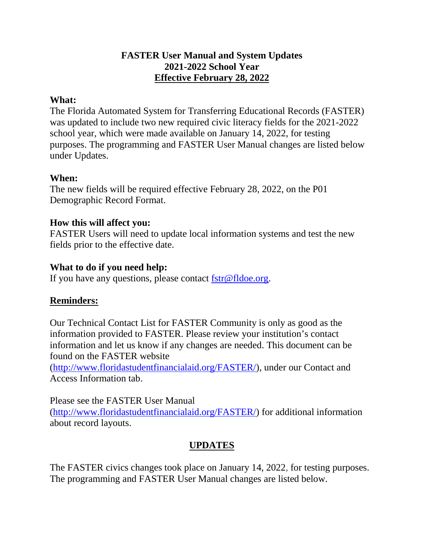## **FASTER User Manual and System Updates 2021-2022 School Year Effective February 28, 2022**

#### **What:**

The Florida Automated System for Transferring Educational Records (FASTER) was updated to include two new required civic literacy fields for the 2021-2022 school year, which were made available on January 14, 2022, for testing purposes. The programming and FASTER User Manual changes are listed below under Updates.

## **When:**

The new fields will be required effective February 28, 2022, on the P01 Demographic Record Format.

## **How this will affect you:**

FASTER Users will need to update local information systems and test the new fields prior to the effective date.

## **What to do if you need help:**

If you have any questions, please contact [fstr@fldoe.org.](mailto:fstr@fldoe.org)

## **Reminders:**

Our Technical Contact List for FASTER Community is only as good as the information provided to FASTER. Please review your institution's contact information and let us know if any changes are needed. This document can be found on the FASTER website

[\(http://www.floridastudentfinancialaid.org/FASTER/\)](https://urldefense.com/v3/__http:/www.floridastudentfinancialaid.org/FASTER/__;!!OJzR9A!NWLgvn0czl5YYXvrvbxQOOlShECIIlU1CpwnqwDOZ6JFu5nC2yidGqJ-e9Dg_G4Z3qXr$), under our Contact and Access Information tab.

Please see the FASTER User Manual [\(http://www.floridastudentfinancialaid.org/FASTER/\)](https://urldefense.com/v3/__http:/www.floridastudentfinancialaid.org/FASTER/__;!!OJzR9A!NWLgvn0czl5YYXvrvbxQOOlShECIIlU1CpwnqwDOZ6JFu5nC2yidGqJ-e9Dg_G4Z3qXr$) for additional information about record layouts.

# **UPDATES**

The FASTER civics changes took place on January 14, 2022, for testing purposes. The programming and FASTER User Manual changes are listed below.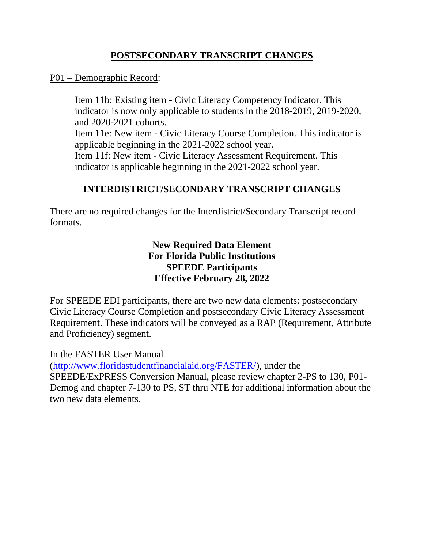## **POSTSECONDARY TRANSCRIPT CHANGES**

## P01 – Demographic Record:

Item 11b: Existing item - Civic Literacy Competency Indicator. This indicator is now only applicable to students in the 2018-2019, 2019-2020, and 2020-2021 cohorts. Item 11e: New item - Civic Literacy Course Completion. This indicator is applicable beginning in the 2021-2022 school year. Item 11f: New item - Civic Literacy Assessment Requirement. This indicator is applicable beginning in the 2021-2022 school year.

# **INTERDISTRICT/SECONDARY TRANSCRIPT CHANGES**

There are no required changes for the Interdistrict/Secondary Transcript record formats.

> **New Required Data Element For Florida Public Institutions SPEEDE Participants Effective February 28, 2022**

For SPEEDE EDI participants, there are two new data elements: postsecondary Civic Literacy Course Completion and postsecondary Civic Literacy Assessment Requirement. These indicators will be conveyed as a RAP (Requirement, Attribute and Proficiency) segment.

In the FASTER User Manual

[\(http://www.floridastudentfinancialaid.org/FASTER/\)](https://urldefense.com/v3/__http:/www.floridastudentfinancialaid.org/FASTER/__;!!OJzR9A!NWLgvn0czl5YYXvrvbxQOOlShECIIlU1CpwnqwDOZ6JFu5nC2yidGqJ-e9Dg_G4Z3qXr$), under the

SPEEDE/ExPRESS Conversion Manual, please review chapter 2-PS to 130, P01- Demog and chapter 7-130 to PS, ST thru NTE for additional information about the two new data elements.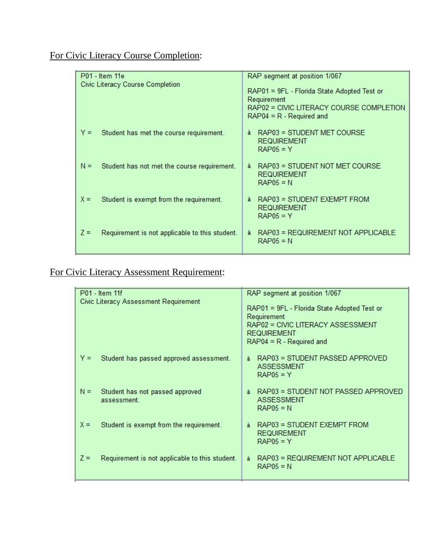For Civic Literacy Course Completion:

| RAP segment at position 1/067                                                                                                    |
|----------------------------------------------------------------------------------------------------------------------------------|
| RAP01 = 9FL - Florida State Adopted Test or<br>Requirement<br>RAP02 = CIVIC LITERACY COURSE COMPLETION<br>$RAP04 = R - Required$ |
| RAP03 = STUDENT MET COURSE<br>à.<br><b>REQUIREMENT</b><br>$RAP05 = Y$                                                            |
| RAP03 = STUDENT NOT MET COURSE<br>ã.<br><b>REQUIREMENT</b><br>$RAP05 = N$                                                        |
| RAP03 = STUDENT EXEMPT FROM<br>à<br><b>REQUIREMENT</b><br>$RAP05 = Y$                                                            |
| RAP03 = REQUIREMENT NOT APPLICABLE<br>à<br>$RAP05 = N$                                                                           |
|                                                                                                                                  |

# For Civic Literacy Assessment Requirement:

| P01 - Item 11f                                          | RAP segment at position 1/067                                                                                                                   |
|---------------------------------------------------------|-------------------------------------------------------------------------------------------------------------------------------------------------|
| Civic Literacy Assessment Requirement                   | RAP01 = 9FL - Florida State Adopted Test or<br>Requirement<br>RAP02 = CIVIC LITERACY ASSESSMENT<br><b>REQUIREMENT</b><br>$RAP04 = R - Required$ |
| Student has passed approved assessment.<br>Y =          | RAP03 = STUDENT PASSED APPROVED<br>ã.<br><b>ASSESSMENT</b><br>$RAP05 = Y$                                                                       |
| $N =$<br>Student has not passed approved<br>assessment  | à RAP03 = STUDENT NOT PASSED APPROVED<br><b>ASSESSMENT</b><br>$RAP05 = N$                                                                       |
| $X =$<br>Student is exempt from the requirement.        | RAP03 = STUDENT EXEMPT FROM<br>à.<br><b>REQUIREMENT</b><br>$RAP05 = Y$                                                                          |
| $Z =$<br>Requirement is not applicable to this student. | RAP03 = REQUIREMENT NOT APPLICABLE<br>à.<br>$RAP05 = N$                                                                                         |